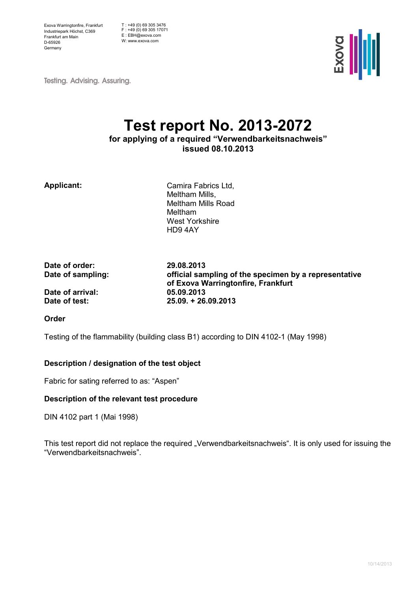Exova Warringtonfire, Frankfurt Industriepark Höchst, C369 Frankfurt am Main D-65926 Germany

T : +49 (0) 69 305 3476 F : +49 (0) 69 305 17071 E : EBH@exova.com W: www.exova.com



**Testing. Advising. Assuring.** 

# Test report No. 2013-2072

for applying of a required "Verwendbarkeitsnachweis" issued 08.10.2013

Applicant: Camira Fabrics Ltd, Meltham Mills, Meltham Mills Road Meltham West Yorkshire HD9 4AY

Date of order: 29.08.2013

Date of sampling: official sampling of the specimen by a representative of Exova Warringtonfire, Frankfurt Date of arrival: 05.09.2013 Date of test: 25.09. + 26.09.2013

Order

Testing of the flammability (building class B1) according to DIN 4102-1 (May 1998)

#### Description / designation of the test object

Fabric for sating referred to as: "Aspen"

#### Description of the relevant test procedure

DIN 4102 part 1 (Mai 1998)

This test report did not replace the required "Verwendbarkeitsnachweis". It is only used for issuing the "Verwendbarkeitsnachweis".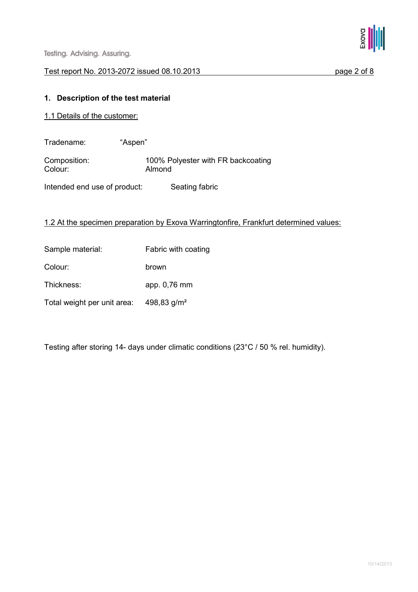

#### Test report No. 2013-2072 issued 08.10.2013 page 2 of 8

#### 1. Description of the test material

- 1.1 Details of the customer:
- Tradename: "Aspen"

Composition: 100% Polyester with FR backcoating<br>
Colour: 2000 Almond Almond

Intended end use of product: Seating fabric

#### 1.2 At the specimen preparation by Exova Warringtonfire, Frankfurt determined values:

Sample material: Fabric with coating Colour: brown Thickness: app. 0,76 mm Total weight per unit area: 498,83 g/m²

Testing after storing 14- days under climatic conditions (23°C / 50 % rel. humidity).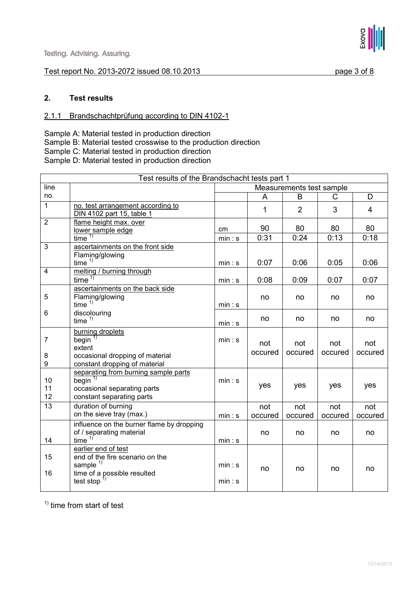#### Test report No. 2013-2072 issued 08.10.2013 page 3 of 8



#### 2. Test results

#### 2.1.1 Brandschachtprüfung according to DIN 4102-1

Sample A: Material tested in production direction Sample B: Material tested crosswise to the production direction Sample C: Material tested in production direction Sample D: Material tested in production direction

|                          | Test results of the Brandschacht tests part 1                                                                           |                          |                |                |                |                |  |
|--------------------------|-------------------------------------------------------------------------------------------------------------------------|--------------------------|----------------|----------------|----------------|----------------|--|
| line                     |                                                                                                                         | Measurements test sample |                |                |                |                |  |
| no.                      |                                                                                                                         |                          | A              | B              | C              | D              |  |
| $\mathbf{1}$             | no. test arrangement according to<br>DIN 4102 part 15, table 1                                                          |                          | 1              | $\overline{2}$ | 3              | $\overline{4}$ |  |
| $\overline{2}$           | flame height max. over<br>lower sample edge                                                                             | cm                       | 90             | 80             | 80             | 80             |  |
|                          | time <sup>1</sup>                                                                                                       | min: s                   | 0:31           | 0:24           | 0:13           | 0:18           |  |
| 3                        | ascertainments on the front side<br>Flaming/glowing<br>time $1)$                                                        | min: s                   | 0:07           | 0:06           | 0:05           | 0:06           |  |
| $\overline{4}$           | melting / burning through                                                                                               |                          |                |                |                |                |  |
|                          | time <sup>1</sup>                                                                                                       | min: s                   | 0:08           | 0:09           | 0:07           | 0:07           |  |
| 5                        | ascertainments on the back side<br>Flaming/glowing<br>time $1)$                                                         | min: s                   | no             | no             | no             | no             |  |
| 6                        | discolouring<br>time $1)$                                                                                               | min: s                   | no             | no             | no             | no             |  |
| $\overline{7}$<br>8<br>9 | burning droplets<br>begin $\overline{1}$<br>extent<br>occasional dropping of material<br>constant dropping of material  | min: s                   | not<br>occured | not<br>occured | not<br>occured | not<br>occured |  |
| 10<br>11<br>12           | separating from burning sample parts<br>begin $\frac{1}{1}$<br>occasional separating parts<br>constant separating parts | min: s                   | yes            | yes            | yes            | yes            |  |
| 13                       | duration of burning<br>on the sieve tray (max.)                                                                         | min: s                   | not<br>occured | not<br>occured | not<br>occured | not<br>occured |  |
| 14                       | influence on the burner flame by dropping<br>of / separating material<br>time $1$                                       | min: s                   | no             | no             | no             | no             |  |
| 15<br>16                 | earlier end of test<br>end of the fire scenario on the<br>sample $1$<br>time of a possible resulted                     | min: s                   | no             | no             | no             | no             |  |
|                          | test stop                                                                                                               | min: s                   |                |                |                |                |  |

 $<sup>1</sup>$  time from start of test</sup>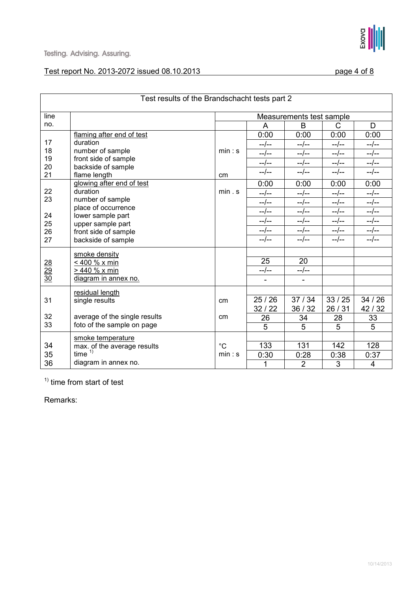| Test results of the Brandschacht tests part 2 |                                    |                          |         |                |           |                |  |  |
|-----------------------------------------------|------------------------------------|--------------------------|---------|----------------|-----------|----------------|--|--|
| line                                          |                                    | Measurements test sample |         |                |           |                |  |  |
| no.                                           |                                    |                          | A       | B              | C         | D              |  |  |
|                                               | flaming after end of test          |                          | 0:00    | 0:00           | 0:00      | 0:00           |  |  |
| 17                                            | duration                           |                          | $-$ /-- | $-/--$         | --/--     | --/--          |  |  |
| 18                                            | number of sample                   | min: s                   | $-/-$   | $-/-$          | $-/--$    | $-/-$          |  |  |
| 19                                            | front side of sample               |                          | --/--   | $-/--$         | $-/-$     | $-$ /--        |  |  |
| 20<br>21                                      | backside of sample<br>flame length | cm                       | $-/-$   | $-/--$         | $-$ /--   | $-$ /--        |  |  |
|                                               | glowing after end of test          |                          | 0:00    | 0:00           | 0:00      | 0:00           |  |  |
| 22                                            | duration<br>min. s                 |                          | $-/--$  | $-/--$         | $-/-$     | $-/--$         |  |  |
| 23                                            | number of sample                   |                          | $-/-$   | $-/--$         | $-/-$     | $-/--$         |  |  |
|                                               | place of occurrence                |                          | $-/-$   | $-$ / $-$      | $-$ /--   | $-/--$         |  |  |
| 24                                            | lower sample part                  |                          | $-/-$   | $-/--$         | $-$ /--   | $-$ /--        |  |  |
| 25                                            | upper sample part                  |                          | $-/-$   | $-$ / $-$      | $-/-$     | $-/--$         |  |  |
| 26                                            | front side of sample               |                          | $-/-$   | $-/--$         | $-$ / $-$ | $-/--$         |  |  |
| 27                                            | backside of sample                 |                          |         |                |           |                |  |  |
|                                               | smoke density                      |                          |         |                |           |                |  |  |
|                                               | < 400 % x min                      |                          | 25      | 20             |           |                |  |  |
| $\frac{28}{29}$                               | > 440 % x min                      |                          | $-/-$   | $-/--$         |           |                |  |  |
| $\overline{30}$                               | diagram in annex no.               |                          |         |                |           |                |  |  |
|                                               | residual length                    |                          |         |                |           |                |  |  |
| 31                                            | single results                     | cm                       | 25/26   | 37/34          | 33/25     | 34/26          |  |  |
|                                               |                                    |                          | 32/22   | 36 / 32        | 26/31     | 42/32          |  |  |
| 32                                            | average of the single results      | cm                       | 26      | 34             | 28        | 33             |  |  |
| 33                                            | foto of the sample on page         |                          | 5       | 5              | 5         | 5              |  |  |
|                                               | smoke temperature                  |                          |         |                |           |                |  |  |
| 34                                            | max. of the average results        | $^{\circ}C$              | 133     | 131            | 142       | 128            |  |  |
| 35                                            | time $1)$                          | min: s                   | 0:30    | 0:28           | 0:38      | 0:37           |  |  |
| 36                                            | diagram in annex no.               |                          | 1       | $\overline{2}$ | 3         | $\overline{4}$ |  |  |

 $<sup>1</sup>$  time from start of test</sup>

Remarks: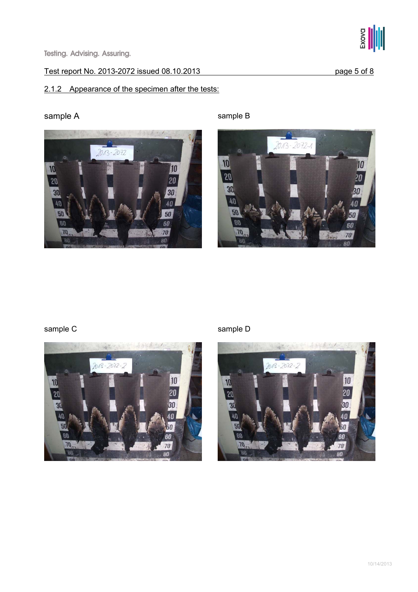

## 2.1.2 Appearance of the specimen after the tests:



sample A sample B



## sample C sample D





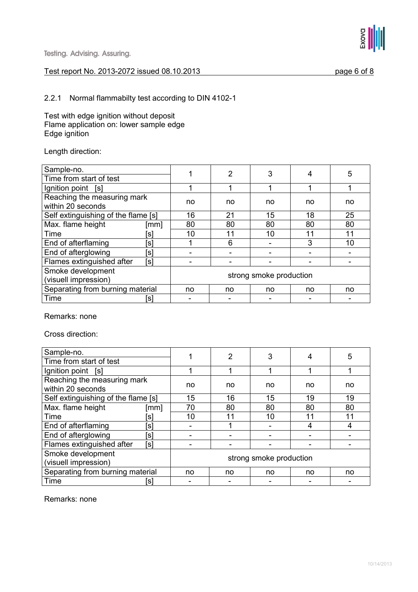

Exova

#### 2.2.1 Normal flammabilty test according to DIN 4102-1

Test with edge ignition without deposit Flame application on: lower sample edge Edge ignition

Length direction:

| Sample-no.                                       |      | 2                       | 3  |    | 5  |    |  |
|--------------------------------------------------|------|-------------------------|----|----|----|----|--|
| Time from start of test                          |      |                         |    |    |    |    |  |
| Ignition point [s]                               |      |                         |    |    |    |    |  |
| Reaching the measuring mark<br>within 20 seconds |      | no                      | no | no | no | no |  |
| Self extinguishing of the flame [s]              | 16   | 21                      | 15 | 18 | 25 |    |  |
| Max. flame height                                | [mm] | 80                      | 80 | 80 | 80 | 80 |  |
| Time                                             | [s]  | 10                      | 11 | 10 | 11 | 11 |  |
| End of afterflaming                              | [s]  |                         | 6  |    | 3  | 10 |  |
| End of afterglowing                              | [s]  |                         |    |    |    |    |  |
| Flames extinguished after                        | [s]  |                         |    |    |    |    |  |
| Smoke development                                |      |                         |    |    |    |    |  |
| (visuell impression)                             |      | strong smoke production |    |    |    |    |  |
| Separating from burning material                 | no   | no                      | no | no | no |    |  |
| Time                                             | [s]  |                         |    |    |    |    |  |

Remarks: none

Cross direction:

| Sample-no.                          |                         |    | 2  |    |    | 5  |  |  |
|-------------------------------------|-------------------------|----|----|----|----|----|--|--|
| Time from start of test             |                         |    | 3  |    |    |    |  |  |
| Ignition point [s]                  |                         |    |    |    |    |    |  |  |
| Reaching the measuring mark         | no                      | no | no | no | no |    |  |  |
| within 20 seconds                   |                         |    |    |    |    |    |  |  |
| Self extinguishing of the flame [s] | 15                      | 16 | 15 | 19 | 19 |    |  |  |
| Max. flame height                   | $\lceil mm \rceil$      | 70 | 80 | 80 | 80 | 80 |  |  |
| Time                                | Isl                     | 10 | 11 | 10 | 11 | 11 |  |  |
| End of afterflaming                 | [s]                     |    |    |    |    | 4  |  |  |
| End of afterglowing                 | [s]                     |    |    |    |    |    |  |  |
| Flames extinguished after           | [s]                     |    |    |    |    |    |  |  |
| Smoke development                   | strong smoke production |    |    |    |    |    |  |  |
| (visuell impression)                |                         |    |    |    |    |    |  |  |
| Separating from burning material    | no                      | no | no | no | no |    |  |  |
| Time                                | [s]                     |    |    |    |    |    |  |  |

Remarks: none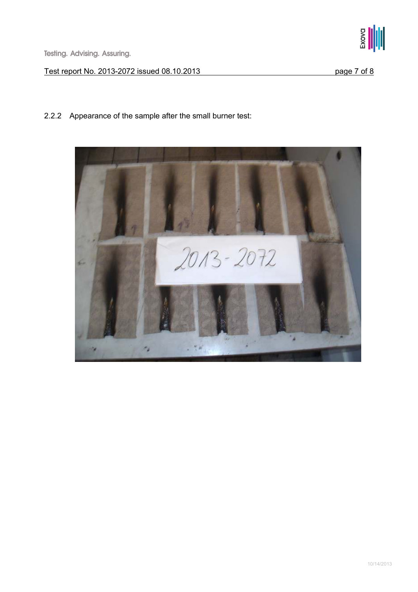

## 2.2.2 Appearance of the sample after the small burner test:

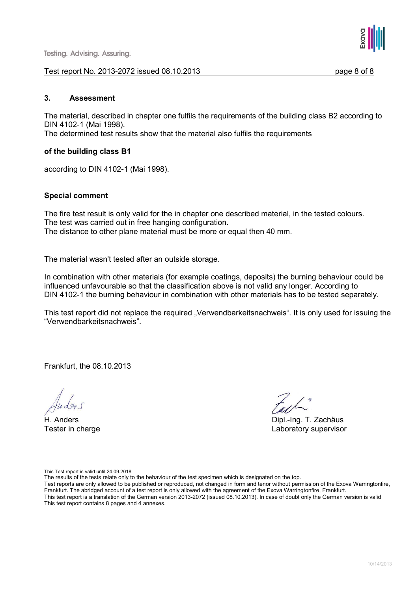#### Test report No. 2013-2072 issued 08.10.2013 page 8 of 8



#### 3. Assessment

The material, described in chapter one fulfils the requirements of the building class B2 according to DIN 4102-1 (Mai 1998).

The determined test results show that the material also fulfils the requirements

#### of the building class B1

according to DIN 4102-1 (Mai 1998).

#### Special comment

The fire test result is only valid for the in chapter one described material, in the tested colours. The test was carried out in free hanging configuration. The distance to other plane material must be more or equal then 40 mm.

The material wasn't tested after an outside storage.

In combination with other materials (for example coatings, deposits) the burning behaviour could be influenced unfavourable so that the classification above is not valid any longer. According to DIN 4102-1 the burning behaviour in combination with other materials has to be tested separately.

This test report did not replace the required "Verwendbarkeitsnachweis". It is only used for issuing the "Verwendbarkeitsnachweis".

Frankfurt, the 08.10.2013

H. Anders Dipl.-Ing. T. Zachäus Tester in charge Laboratory supervisor

This Test report is valid until 24.09.2018

The results of the tests relate only to the behaviour of the test specimen which is designated on the top.

Test reports are only allowed to be published or reproduced, not changed in form and tenor without permission of the Exova Warringtonfire, Frankfurt. The abridged account of a test report is only allowed with the agreement of the Exova Warringtonfire, Frankfurt. This test report is a translation of the German version 2013-2072 (issued 08.10.2013). In case of doubt only the German version is valid This test report contains 8 pages and 4 annexes.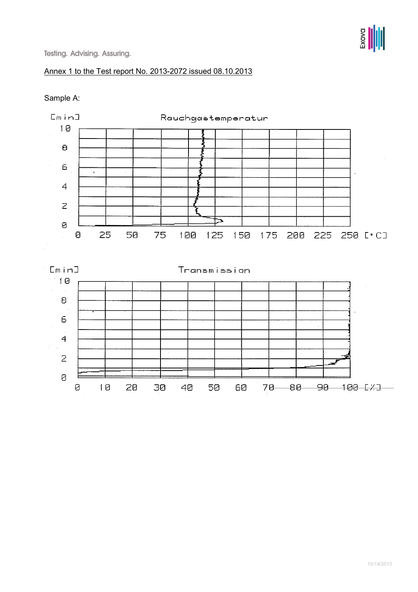## Annex 1 to the Test report No. 2013-2072 issued 08.10.2013

## Sample A:

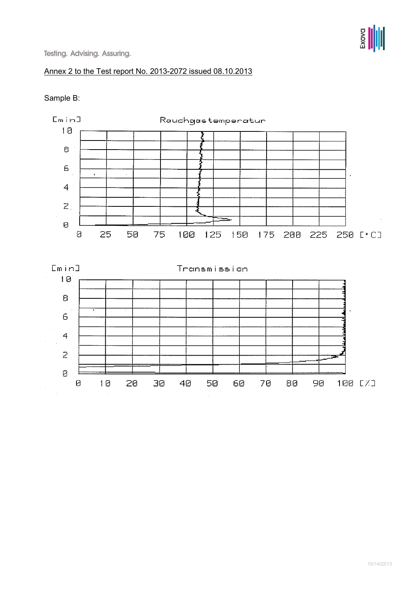## Annex 2 to the Test report No. 2013-2072 issued 08.10.2013

#### Sample B:

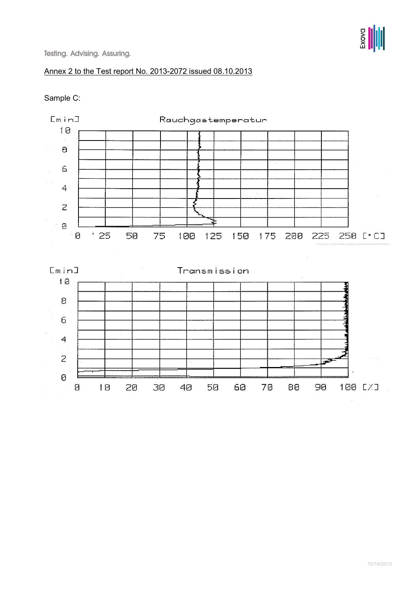## Annex 2 to the Test report No. 2013-2072 issued 08.10.2013

#### Sample C: